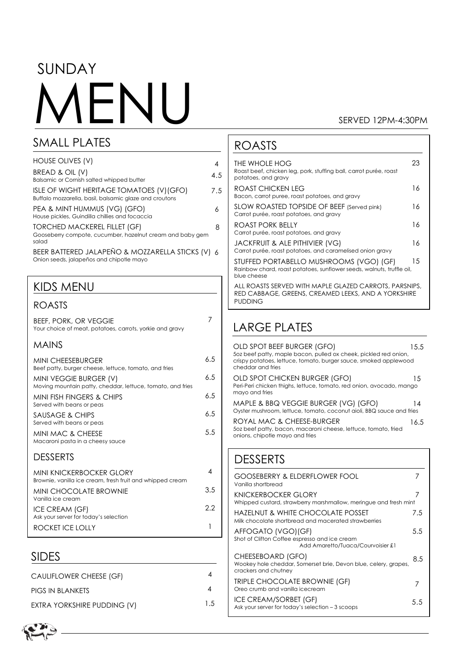# SUNDAY FNII

SMALL PLATES

#### SERVED 12PM-4:30PM

23

16

16

| HOUSE OLIVES (V)                                                                                   | 4   |
|----------------------------------------------------------------------------------------------------|-----|
| BREAD & OIL (V)<br>Balsamic or Cornish salted whipped butter                                       | 4.5 |
| ISLE OF WIGHT HERITAGE TOMATOES (V)(GFO)<br>Buffalo mozzarella, basil, balsamic glaze and croutons | 7.5 |
| PEA & MINT HUMMUS (VG) (GFO)<br>House pickles, Guindilla chillies and focaccia                     | 6   |
| TORCHED MACKEREL FILLET (GF)<br>Gooseberry compote, cucumber, hazelnut cream and baby gem<br>salad | 8   |
| BEER BATTERED JALAPEÑO & MOZZARELLA STICKS (V) 6<br>Onion seeds, jalapeños and chipotle mayo       |     |
| <b>KIDS MENU</b>                                                                                   |     |
| ROASTS                                                                                             |     |
| <b>BEEF, PORK, OR VEGGIE</b><br>Your choice of meat, potatoes, carrots, yorkie and gravy           | 7   |
| <b>MAINS</b>                                                                                       |     |
| <b>MINI CHEESEBURGER</b><br>Beef patty, burger cheese, lettuce, tomato, and fries                  | 6.5 |
| MINI VEGGIE BURGER (V)<br>Moving mountain patty, cheddar, lettuce, tomato, and fries               | 6.5 |
| MINI FISH FINGERS & CHIPS<br>Served with beans or peas                                             | 6.5 |
| SAUSAGE & CHIPS<br>Served with beans or peas                                                       | 6.5 |
| <b>MINI MAC &amp; CHEESE</b><br>Macaroni pasta in a cheesy sauce                                   | 5.5 |
| <b>DESSERTS</b>                                                                                    |     |
| MINI KNICKERBOCKER GLORY<br>Brownie, vanilla ice cream, fresh fruit and whipped cream              | 4   |
| <b>MINI CHOCOLATE BROWNIE</b><br>Vanilla ice cream                                                 | 3.5 |

#### Roast beef, chicken leg, pork, stuffing ball, carrot purée, roast potatoes, and gravy ROAST CHICKEN LEG Bacon, carrot puree, roast potatoes, and gravy SLOW ROASTED TOPSIDE OF BEEF (Served pink)

ROASTS

THE WHOLE HOG

Carrot purée, roast potatoes, and gravy ROAST PORK BELLY Carrot purée, roast potatoes, and gravy JACKFRUIT & ALE PITHIVIER (VG) Carrot purée, roast potatoes, and caramelised onion gravy STUFFED PORTABELLO MUSHROOMS (VGO) (GF) Rainbow chard, roast potatoes, sunflower seeds, walnuts, truffle oil, blue cheese 16 16 15

ALL ROASTS SERVED WITH MAPLE GLAZED CARROTS, PARSNIPS, RED CABBAGE, GREENS, CREAMED LEEKS, AND A YORKSHIRE PUDDING

## LARGE PLATES

| OLD SPOT BEEF BURGER (GFO)<br>50z beef patty, maple bacon, pulled ox cheek, pickled red onion,<br>crispy potatoes, lettuce, tomato, burger sauce, smoked applewood<br>cheddar and fries | 1.5.5 |
|-----------------------------------------------------------------------------------------------------------------------------------------------------------------------------------------|-------|
| OLD SPOT CHICKEN BURGER (GFO)<br>Peri-Peri chicken thighs, lettuce, tomato, red onion, avocado, mango<br>mayo and fries                                                                 | 1.5   |
| MAPLE & BBQ VEGGIE BURGER (VG) (GFO)<br>Oyster mushroom, lettuce, tomato, coconut aioli, BBQ sauce and fries                                                                            | 14    |
| ROYAL MAC & CHEESE-BURGER<br>50z beef patty, bacon, macaroni cheese, lettuce, tomato, fried<br>onions, chipotle mayo and fries                                                          | 16.5  |

### DESSERTS

2.2

1

| <b>GOOSEBERRY &amp; ELDERFLOWER FOOL</b><br>Vanilla shortbread                                               |     |
|--------------------------------------------------------------------------------------------------------------|-----|
| KNICKFRBOCKFR GI ORY<br>Whipped custard, strawberry marshmallow, meringue and fresh mint                     |     |
| HAZELNUT & WHITE CHOCOLATE POSSET<br>Milk chocolate shortbread and macerated strawberries                    | 7.5 |
| AFFOGATO (VGO) (GF)<br>Shot of Clifton Coffee espresso and ice cream<br>Add Amaretto/Tuaca/Courvoisier £1    | 5.5 |
| CHEESEBOARD (GFO)<br>Wookey hole cheddar, Somerset brie, Devon blue, celery, grapes,<br>crackers and chutney | 8.5 |
| <b>TRIPLE CHOCOLATE BROWNIE (GF)</b><br>Oreo crumb and vanilla icecream                                      |     |
| ICE CREAM/SORBET (GF)<br>Ask your server for today's selection - 3 scoops                                    | 5.5 |

### SIDES

ICE CREAM (GF)

ROCKET ICE LOLLY

Ask your server for today's selection

| CAULIFLOWER CHEESE (GF)     |     |
|-----------------------------|-----|
| PIGS IN BLANKETS            |     |
| EXTRA YORKSHIRE PUDDING (V) | 1.5 |